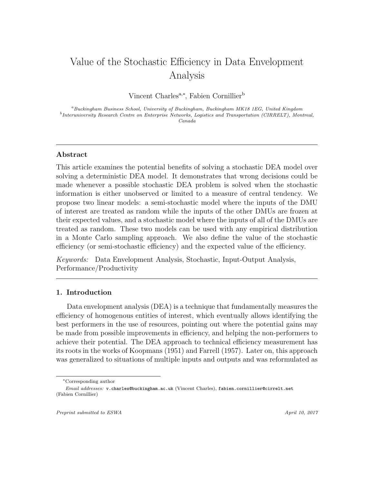# Value of the Stochastic Efficiency in Data Envelopment Analysis

Vincent Charles<sup>a,∗</sup>, Fabien Cornillier<sup>b</sup>

<sup>a</sup>Buckingham Business School, University of Buckingham, Buckingham MK18 1EG, United Kingdom <sup>b</sup>Interuniversity Research Centre on Enterprise Networks, Logistics and Transportation (CIRRELT), Montreal, Canada

## Abstract

This article examines the potential benefits of solving a stochastic DEA model over solving a deterministic DEA model. It demonstrates that wrong decisions could be made whenever a possible stochastic DEA problem is solved when the stochastic information is either unobserved or limited to a measure of central tendency. We propose two linear models: a semi-stochastic model where the inputs of the DMU of interest are treated as random while the inputs of the other DMUs are frozen at their expected values, and a stochastic model where the inputs of all of the DMUs are treated as random. These two models can be used with any empirical distribution in a Monte Carlo sampling approach. We also define the value of the stochastic efficiency (or semi-stochastic efficiency) and the expected value of the efficiency.

Keywords: Data Envelopment Analysis, Stochastic, Input-Output Analysis, Performance/Productivity

## 1. Introduction

Data envelopment analysis (DEA) is a technique that fundamentally measures the efficiency of homogenous entities of interest, which eventually allows identifying the best performers in the use of resources, pointing out where the potential gains may be made from possible improvements in efficiency, and helping the non-performers to achieve their potential. The DEA approach to technical efficiency measurement has its roots in the works of [Koopmans \(1951\)](#page-19-0) and [Farrell \(1957\)](#page-18-0). Later on, this approach was generalized to situations of multiple inputs and outputs and was reformulated as

<sup>∗</sup>Corresponding author

Email addresses: v.charles@buckingham.ac.uk (Vincent Charles), fabien.cornillier@cirrelt.net (Fabien Cornillier)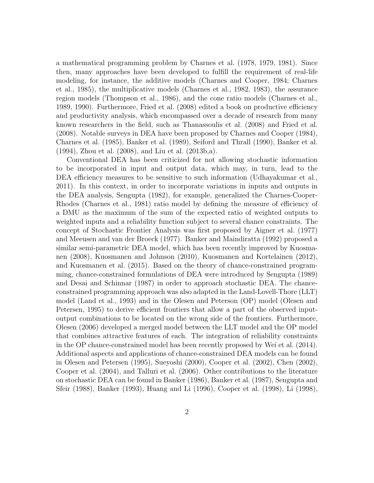a mathematical programming problem by [Charnes et al. \(1978,](#page-17-0) [1979,](#page-17-1) [1981\)](#page-17-2). Since then, many approaches have been developed to fulfill the requirement of real-life modeling, for instance, the additive models [\(Charnes and Cooper, 1984;](#page-17-3) [Charnes](#page-17-4) [et al., 1985\)](#page-17-4), the multiplicative models [\(Charnes et al., 1982,](#page-18-1) [1983\)](#page-18-2), the assurance region models [\(Thompson et al., 1986\)](#page-21-0), and the cone ratio models [\(Charnes et al.,](#page-17-5) [1989,](#page-17-5) [1990\)](#page-17-6). Furthermore, [Fried et al. \(2008\)](#page-18-3) edited a book on productive efficiency and productivity analysis, which encompassed over a decade of research from many known researchers in the field, such as [Thanassoulis et al. \(2008\)](#page-21-1) and [Fried et al.](#page-18-3) [\(2008\)](#page-18-3). Notable surveys in DEA have been proposed by [Charnes and Cooper \(1984\)](#page-17-3), [Charnes et al. \(1985\)](#page-17-4), [Banker et al. \(1989\)](#page-16-0), [Seiford and Thrall \(1990\)](#page-20-0), [Banker et al.](#page-16-1) [\(1994\)](#page-16-1), [Zhou et al. \(2008\)](#page-21-2), and [Liu et al. \(2013b](#page-20-1)[,a\)](#page-19-1).

Conventional DEA has been criticized for not allowing stochastic information to be incorporated in input and output data, which may, in turn, lead to the DEA efficiency measures to be sensitive to such information [\(Udhayakumar et al.,](#page-21-3) [2011\)](#page-21-3). In this context, in order to incorporate variations in inputs and outputs in the DEA analysis, [Sengupta \(1982\)](#page-20-2), for example, generalized the Charnes-Cooper-Rhodes [\(Charnes et al., 1981\)](#page-17-2) ratio model by defining the measure of efficiency of a DMU as the maximum of the sum of the expected ratio of weighted outputs to weighted inputs and a reliability function subject to several chance constraints. The concept of Stochastic Frontier Analysis was first proposed by [Aigner et al. \(1977\)](#page-16-2) and [Meeusen and van der Broeck \(1977\)](#page-20-3). [Banker and Maindiratta \(1992\)](#page-16-3) proposed a similar semi-parametric DEA model, which has been recently improved by [Kuosma](#page-19-2)[nen \(2008\)](#page-19-2), [Kuosmanen and Johnson \(2010\)](#page-19-3), [Kuosmanen and Kortelainen \(2012\)](#page-19-4), and [Kuosmanen et al. \(2015\)](#page-19-5). Based on the theory of chance-constrained programming, chance-constrained formulations of DEA were introduced by [Sengupta \(1989\)](#page-20-4) and [Desai and Schinnar \(1987\)](#page-18-4) in order to approach stochastic DEA. The chanceconstrained programming approach was also adapted in the Land-Lovell-Thore (LLT) model [\(Land et al., 1993\)](#page-19-6) and in the Olesen and Peterson (OP) model [\(Olesen and](#page-20-5) [Petersen, 1995\)](#page-20-5) to derive efficient frontiers that allow a part of the observed inputoutput combinations to be located on the wrong side of the frontiers. Furthermore, [Olesen \(2006\)](#page-20-6) developed a merged model between the LLT model and the OP model that combines attractive features of each. The integration of reliability constraints in the OP chance-constrained model has been recently proposed by [Wei et al. \(2014\)](#page-21-4). Additional aspects and applications of chance-constrained DEA models can be found in [Olesen and Petersen \(1995\)](#page-20-5), [Sueyoshi \(2000\)](#page-21-5), [Cooper et al. \(2002\)](#page-18-5), [Chen \(2002\)](#page-18-6), [Cooper et al. \(2004\)](#page-18-7), and [Talluri et al. \(2006\)](#page-21-6). Other contributions to the literature on stochastic DEA can be found in [Banker \(1986\)](#page-16-4), [Banker et al.](#page-16-5) [\(1987\)](#page-16-5), [Sengupta and](#page-20-7) [Sfeir \(1988\)](#page-20-7), [Banker \(1993\)](#page-16-6), [Huang and Li \(1996\)](#page-19-7), [Cooper et al. \(1998\)](#page-18-8), [Li \(1998\)](#page-19-8),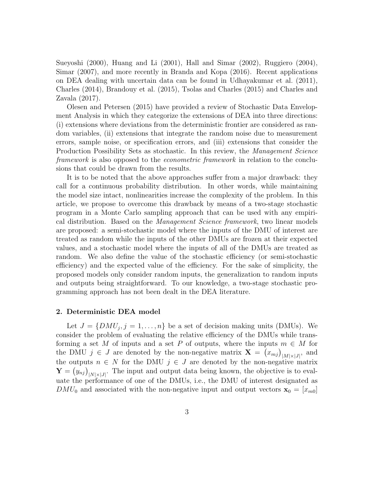[Sueyoshi \(2000\)](#page-21-5), [Huang and Li \(2001\)](#page-19-9), [Hall and Simar \(2002\)](#page-18-9), [Ruggiero \(2004\)](#page-20-8), [Simar \(2007\)](#page-20-9), and more recently in [Branda and Kopa \(2016\)](#page-16-7). Recent applications on DEA dealing with uncertain data can be found in [Udhayakumar](#page-21-3) et al. [\(2011\)](#page-21-3), [Charles \(2014\)](#page-17-7), [Brandouy et al. \(2015\)](#page-17-8), [Tsolas and Charles \(2015\)](#page-21-7) and [Charles and](#page-17-9) [Zavala \(2017\)](#page-17-9).

[Olesen and Petersen \(2015\)](#page-20-10) have provided a review of Stochastic Data Envelopment Analysis in which they categorize the extensions of DEA into three directions: (i) extensions where deviations from the deterministic frontier are considered as random variables, (ii) extensions that integrate the random noise due to measurement errors, sample noise, or specification errors, and (iii) extensions that consider the Production Possibility Sets as stochastic. In this review, the Management Science framework is also opposed to the econometric framework in relation to the conclusions that could be drawn from the results.

It is to be noted that the above approaches suffer from a major drawback: they call for a continuous probability distribution. In other words, while maintaining the model size intact, nonlinearities increase the complexity of the problem. In this article, we propose to overcome this drawback by means of a two-stage stochastic program in a Monte Carlo sampling approach that can be used with any empirical distribution. Based on the Management Science framework, two linear models are proposed: a semi-stochastic model where the inputs of the DMU of interest are treated as random while the inputs of the other DMUs are frozen at their expected values, and a stochastic model where the inputs of all of the DMUs are treated as random. We also define the value of the stochastic efficiency (or semi-stochastic efficiency) and the expected value of the efficiency. For the sake of simplicity, the proposed models only consider random inputs, the generalization to random inputs and outputs being straightforward. To our knowledge, a two-stage stochastic programming approach has not been dealt in the DEA literature.

## 2. Deterministic DEA model

Let  $J = \{DMU_j, j = 1, \ldots, n\}$  be a set of decision making units (DMUs). We consider the problem of evaluating the relative efficiency of the DMUs while transforming a set M of inputs and a set P of outputs, where the inputs  $m \in M$  for the DMU  $j \in J$  are denoted by the non-negative matrix  $\mathbf{X} = (x_{mj})_{|M| \times |J|}$ , and the outputs  $n \in N$  for the DMU  $j \in J$  are denoted by the non-negative matrix  $\mathbf{Y} = (y_{nj})_{|N| \times |J|}$ . The input and output data being known, the objective is to evaluate the performance of one of the DMUs, i.e., the DMU of interest designated as  $DMU_0$  and associated with the non-negative input and output vectors  $\mathbf{x}_0 = [x_{m0}]$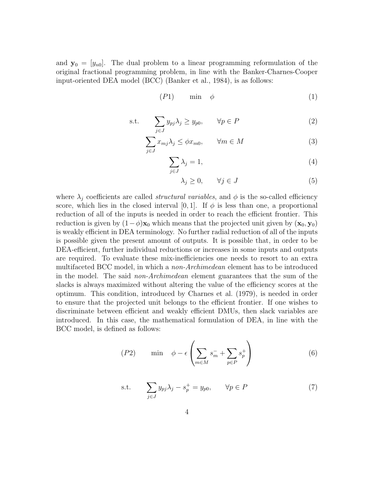and  $y_0 = [y_{n0}]$ . The dual problem to a linear programming reformulation of the original fractional programming problem, in line with the Banker-Charnes-Cooper input-oriented DEA model (BCC) [\(Banker et al., 1984\)](#page-16-8), is as follows:

$$
(P1) \qquad \min \quad \phi \tag{1}
$$

$$
\text{s.t.} \qquad \sum_{j \in J} y_{pj} \lambda_j \ge y_{p0}, \qquad \forall p \in P \tag{2}
$$

$$
\sum_{j \in J} x_{mj} \lambda_j \le \phi x_{m0}, \qquad \forall m \in M \tag{3}
$$

$$
\sum_{j \in J} \lambda_j = 1,\tag{4}
$$

$$
\lambda_j \ge 0, \qquad \forall j \in J \tag{5}
$$

where  $\lambda_j$  coefficients are called *structural variables*, and  $\phi$  is the so-called efficiency score, which lies in the closed interval [0, 1]. If  $\phi$  is less than one, a proportional reduction of all of the inputs is needed in order to reach the efficient frontier. This reduction is given by  $(1-\phi)\mathbf{x}_0$  which means that the projected unit given by  $(\mathbf{x}_0, \mathbf{y}_0)$ is weakly efficient in DEA terminology. No further radial reduction of all of the inputs is possible given the present amount of outputs. It is possible that, in order to be DEA-efficient, further individual reductions or increases in some inputs and outputs are required. To evaluate these mix-inefficiencies one needs to resort to an extra multifaceted BCC model, in which a non-Archimedean element has to be introduced in the model. The said non-Archimedean element guarantees that the sum of the slacks is always maximized without altering the value of the efficiency scores at the optimum. This condition, introduced by [Charnes et al. \(1979\)](#page-17-1), is needed in order to ensure that the projected unit belongs to the efficient frontier. If one wishes to discriminate between efficient and weakly efficient DMUs, then slack variables are introduced. In this case, the mathematical formulation of DEA, in line with the BCC model, is defined as follows:

$$
(P2) \qquad \min \quad \phi - \epsilon \left( \sum_{m \in M} s_m^- + \sum_{p \in P} s_p^+ \right) \tag{6}
$$

s.t. 
$$
\sum_{j \in J} y_{pj} \lambda_j - s_p^+ = y_{p0}, \qquad \forall p \in P
$$
 (7)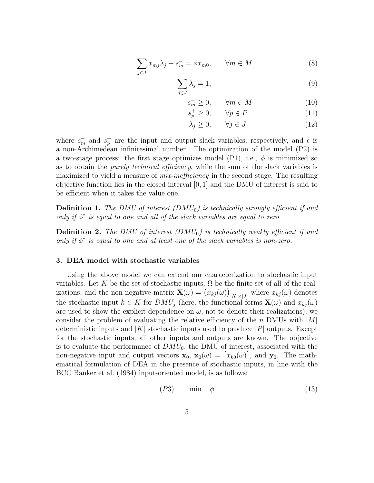$$
\sum_{j \in J} x_{mj} \lambda_j + s_m^- = \phi x_{m0}, \qquad \forall m \in M \tag{8}
$$

$$
\sum_{j \in J} \lambda_j = 1,\tag{9}
$$

$$
s_m^- \ge 0, \qquad \forall m \in M \tag{10}
$$

$$
s_p^+ \ge 0, \qquad \forall p \in P \tag{11}
$$

$$
\lambda_j \ge 0, \qquad \forall j \in J \tag{12}
$$

where  $s_m^-$  and  $s_p^+$  are the input and output slack variables, respectively, and  $\epsilon$  is a non-Archimedean infinitesimal number. The optimization of the model (P2) is a two-stage process: the first stage optimizes model (P1), i.e.,  $\phi$  is minimized so as to obtain the purely technical efficiency, while the sum of the slack variables is maximized to yield a measure of *mix-inefficiency* in the second stage. The resulting objective function lies in the closed interval  $[0, 1]$  and the DMU of interest is said to be efficient when it takes the value one.

**Definition 1.** The DMU of interest  $(DMU_0)$  is technically strongly efficient if and only if  $\phi^*$  is equal to one and all of the slack variables are equal to zero.

**Definition 2.** The DMU of interest  $(DMU_0)$  is technically weakly efficient if and only if  $\phi^*$  is equal to one and at least one of the slack variables is non-zero.

## 3. DEA model with stochastic variables

Using the above model we can extend our characterization to stochastic input variables. Let K be the set of stochastic inputs,  $\Omega$  be the finite set of all of the realizations, and the non-negative matrix  $\mathbf{X}(\omega) = (x_{kj}(\omega))_{|K|\times|J|}$  where  $x_{kj}(\omega)$  denotes the stochastic input  $k \in K$  for  $DMU_j$  (here, the functional forms  $\mathbf{X}(\omega)$  and  $x_{kj}(\omega)$ are used to show the explicit dependence on  $\omega$ , not to denote their realizations); we consider the problem of evaluating the relative efficiency of the n DMUs with  $|M|$ deterministic inputs and  $|K|$  stochastic inputs used to produce  $|P|$  outputs. Except for the stochastic inputs, all other inputs and outputs are known. The objective is to evaluate the performance of  $DMU_0$ , the DMU of interest, associated with the non-negative input and output vectors  $\mathbf{x}_0, \mathbf{x}_0(\omega) = [x_{k0}(\omega)],$  and  $\mathbf{y}_0$ . The mathematical formulation of DEA in the presence of stochastic inputs, in line with the BCC [Banker et al. \(1984\)](#page-16-8) input-oriented model, is as follows:

$$
(P3) \qquad \min \quad \phi \tag{13}
$$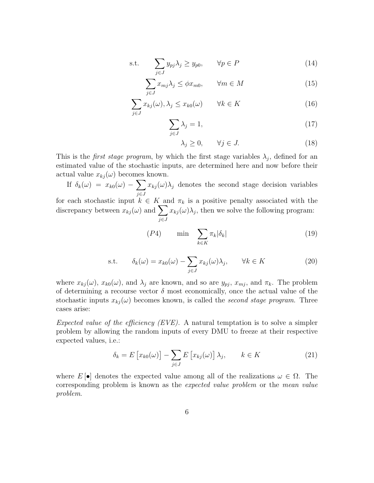s.t. 
$$
\sum_{j \in J} y_{pj} \lambda_j \ge y_{p0}, \qquad \forall p \in P
$$
 (14)

$$
\sum_{j \in J} x_{mj} \lambda_j \le \phi x_{m0}, \qquad \forall m \in M \tag{15}
$$

$$
\sum_{j \in J} x_{kj}(\omega), \lambda_j \le x_{k0}(\omega) \qquad \forall k \in K \tag{16}
$$

$$
\sum_{j \in J} \lambda_j = 1,\tag{17}
$$

$$
\lambda_j \ge 0, \qquad \forall j \in J. \tag{18}
$$

This is the *first stage program*, by which the first stage variables  $\lambda_j$ , defined for an estimated value of the stochastic inputs, are determined here and now before their actual value  $x_{kj}(\omega)$  becomes known.

If  $\delta_k(\omega) = x_{k0}(\omega) - \sum$ j∈J  $x_{kj}(\omega)\lambda_j$  denotes the second stage decision variables for each stochastic input  $k \in K$  and  $\pi_k$  is a positive penalty associated with the discrepancy between  $x_{kj}(\omega)$  and  $\sum$  $x_{kj}(\omega)\lambda_j$ , then we solve the following program:

j∈J

$$
(P4) \qquad \min \quad \sum_{k \in K} \pi_k |\delta_k| \tag{19}
$$

s.t. 
$$
\delta_k(\omega) = x_{k0}(\omega) - \sum_{j \in J} x_{kj}(\omega) \lambda_j, \qquad \forall k \in K
$$
 (20)

where  $x_{kj}(\omega)$ ,  $x_{k0}(\omega)$ , and  $\lambda_j$  are known, and so are  $y_{pj}$ ,  $x_{mj}$ , and  $\pi_k$ . The problem of determining a recourse vector  $\delta$  most economically, once the actual value of the stochastic inputs  $x_{kj}(\omega)$  becomes known, is called the second stage program. Three cases arise:

Expected value of the efficiency  $(EVE)$ . A natural temptation is to solve a simpler problem by allowing the random inputs of every DMU to freeze at their respective expected values, i.e.:

$$
\delta_k = E\left[x_{k0}(\omega)\right] - \sum_{j \in J} E\left[x_{kj}(\omega)\right] \lambda_j, \qquad k \in K \tag{21}
$$

where  $E[\bullet]$  denotes the expected value among all of the realizations  $\omega \in \Omega$ . The corresponding problem is known as the expected value problem or the mean value problem.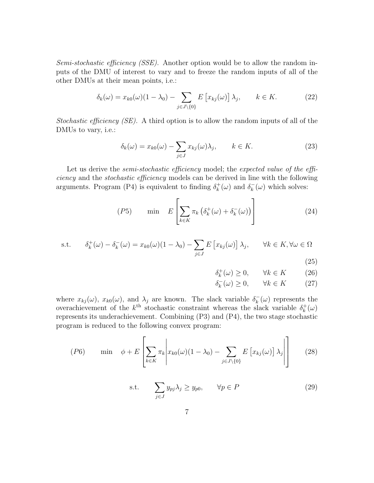Semi-stochastic efficiency (SSE). Another option would be to allow the random inputs of the DMU of interest to vary and to freeze the random inputs of all of the other DMUs at their mean points, i.e.:

$$
\delta_k(\omega) = x_{k0}(\omega)(1 - \lambda_0) - \sum_{j \in J \setminus \{0\}} E\left[x_{kj}(\omega)\right] \lambda_j, \qquad k \in K. \tag{22}
$$

Stochastic efficiency  $(SE)$ . A third option is to allow the random inputs of all of the DMUs to vary, i.e.:

$$
\delta_k(\omega) = x_{k0}(\omega) - \sum_{j \in J} x_{kj}(\omega) \lambda_j, \qquad k \in K.
$$
 (23)

Let us derive the *semi-stochastic efficiency* model; the expected value of the efficiency and the stochastic efficiency models can be derived in line with the following arguments. Program (P4) is equivalent to finding  $\delta_k^+$  $\kappa_k^+(\omega)$  and  $\delta_k^ \overline{k}(\omega)$  which solves:

$$
(P5) \qquad \min \quad E\left[\sum_{k \in K} \pi_k \left(\delta_k^+(\omega) + \delta_k^-(\omega)\right)\right] \tag{24}
$$

s.t. 
$$
\delta_k^+(\omega) - \delta_k^-(\omega) = x_{k0}(\omega)(1 - \lambda_0) - \sum_{j \in J} E\left[x_{kj}(\omega)\right] \lambda_j, \quad \forall k \in K, \forall \omega \in \Omega
$$

(25)

$$
\delta_k^+(\omega) \ge 0, \qquad \forall k \in K \tag{26}
$$

$$
\delta_k^-(\omega) \ge 0, \qquad \forall k \in K \tag{27}
$$

where  $x_{kj}(\omega)$ ,  $x_{k0}(\omega)$ , and  $\lambda_j$  are known. The slack variable  $\delta_k^$  $k_{k}(\omega)$  represents the overachievement of the  $k^{\text{th}}$  stochastic constraint whereas the slack variable  $\delta_k^+$  $_{k}^{+}(\omega)$ represents its underachievement. Combining (P3) and (P4), the two stage stochastic program is reduced to the following convex program:

$$
(P6) \qquad \min \quad \phi + E\left[\sum_{k \in K} \pi_k \middle| x_{k0}(\omega)(1 - \lambda_0) - \sum_{j \in J \setminus \{0\}} E\left[x_{kj}(\omega)\right] \lambda_j \middle| \right] \tag{28}
$$

s.t. 
$$
\sum_{j \in J} y_{pj} \lambda_j \ge y_{p0}, \qquad \forall p \in P
$$
 (29)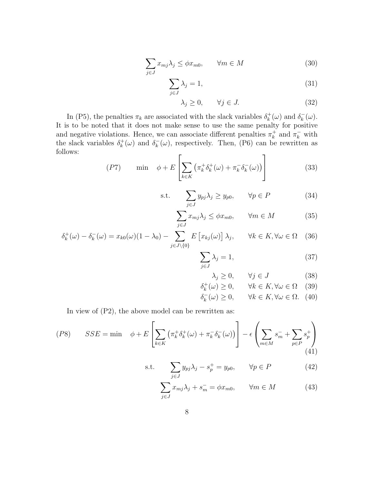$$
\sum_{j \in J} x_{mj} \lambda_j \le \phi x_{m0}, \qquad \forall m \in M \tag{30}
$$

$$
\sum_{j \in J} \lambda_j = 1,\tag{31}
$$

$$
\lambda_j \ge 0, \qquad \forall j \in J. \tag{32}
$$

In (P5), the penalties  $\pi_k$  are associated with the slack variables  $\delta_k^+$  $\lambda_k^+(\omega)$  and  $\delta_k^ _{k}^{-}(\omega).$ It is to be noted that it does not make sense to use the same penalty for positive and negative violations. Hence, we can associate different penalties  $\pi_k^+$  $\frac{1}{k}$  and  $\pi_k^-$  with the slack variables  $\delta_k^+$  $\kappa^+(\omega)$  and  $\delta^-_k$  $_{k}^{-}(\omega)$ , respectively. Then, (P6) can be rewritten as follows:  $\mathbf{r}$  $\overline{1}$ 

$$
(P7) \qquad \min \quad \phi + E\left[\sum_{k \in K} \left(\pi_k^+ \delta_k^+(\omega) + \pi_k^- \delta_k^-(\omega)\right)\right] \tag{33}
$$

s.t. 
$$
\sum_{j \in J} y_{pj} \lambda_j \ge y_{p0}, \qquad \forall p \in P \tag{34}
$$

$$
\sum_{j \in J} x_{mj} \lambda_j \le \phi x_{m0}, \qquad \forall m \in M \tag{35}
$$

$$
\delta_k^+(\omega) - \delta_k^-(\omega) = x_{k0}(\omega)(1 - \lambda_0) - \sum_{j \in J \setminus \{0\}} E\left[x_{kj}(\omega)\right] \lambda_j, \qquad \forall k \in K, \forall \omega \in \Omega \quad (36)
$$

$$
\sum_{j \in J} \lambda_j = 1,\tag{37}
$$

$$
\lambda_j \ge 0, \qquad \forall j \in J \tag{38}
$$

$$
\delta_k^+(\omega) \ge 0, \qquad \forall k \in K, \forall \omega \in \Omega \quad (39)
$$

$$
\delta_k^-(\omega) \ge 0, \qquad \forall k \in K, \forall \omega \in \Omega. \tag{40}
$$

In view of (P2), the above model can be rewritten as:

$$
(P8) \qquad SSE = \min \quad \phi + E\left[\sum_{k \in K} \left(\pi_k^+ \delta_k^+(\omega) + \pi_k^- \delta_k^-(\omega)\right)\right] - \epsilon \left(\sum_{m \in M} s_m^- + \sum_{p \in P} s_p^+\right) \tag{41}
$$

s.t. 
$$
\sum_{j \in J} y_{pj} \lambda_j - s_p^+ = y_{p0}, \qquad \forall p \in P \tag{42}
$$

$$
\sum_{j \in J} x_{mj} \lambda_j + s_m^- = \phi x_{m0}, \qquad \forall m \in M \tag{43}
$$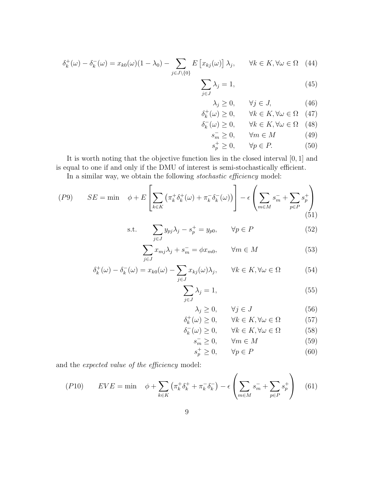$$
\delta_k^+(\omega) - \delta_k^-(\omega) = x_{k0}(\omega)(1 - \lambda_0) - \sum_{j \in J \setminus \{0\}} E\left[x_{kj}(\omega)\right] \lambda_j, \qquad \forall k \in K, \forall \omega \in \Omega \quad (44)
$$

$$
\sum_{j \in J} \lambda_j = 1,\tag{45}
$$

<span id="page-8-1"></span>
$$
\lambda_j \ge 0, \qquad \forall j \in J, \tag{46}
$$

$$
\delta_k^+(\omega) \ge 0, \qquad \forall k \in K, \forall \omega \in \Omega \quad (47)
$$

$$
\delta_k^-(\omega) \ge 0, \qquad \forall k \in K, \forall \omega \in \Omega \quad (48)
$$

$$
s_m^- \ge 0, \qquad \forall m \in M \tag{49}
$$

$$
s_p^+ \ge 0, \qquad \forall p \in P. \tag{50}
$$

It is worth noting that the objective function lies in the closed interval [0, 1] and is equal to one if and only if the DMU of interest is semi-stochastically efficient.

In a similar way, we obtain the following stochastic efficiency model:

$$
(P9) \qquad SE = \min \quad \phi + E\left[\sum_{k \in K} \left(\pi_k^+ \delta_k^+(\omega) + \pi_k^- \delta_k^-(\omega)\right)\right] - \epsilon \left(\sum_{m \in M} s_m^- + \sum_{p \in P} s_p^+\right) \tag{51}
$$

$$
\text{s.t.} \qquad \sum_{j \in J} y_{pj} \lambda_j - s_p^+ = y_{p0}, \qquad \forall p \in P \tag{52}
$$

$$
\sum_{j \in J} x_{mj} \lambda_j + s_m^- = \phi x_{m0}, \qquad \forall m \in M \tag{53}
$$

$$
\delta_k^+(\omega) - \delta_k^-(\omega) = x_{k0}(\omega) - \sum_{j \in J} x_{kj}(\omega)\lambda_j, \qquad \forall k \in K, \forall \omega \in \Omega \tag{54}
$$

$$
\sum_{j \in J} \lambda_j = 1,\tag{55}
$$

$$
\lambda_j \ge 0, \qquad \forall j \in J \tag{56}
$$

$$
\delta_k^+(\omega) \ge 0, \qquad \forall k \in K, \forall \omega \in \Omega \tag{57}
$$

$$
\delta_k^-(\omega) \ge 0, \qquad \forall k \in K, \forall \omega \in \Omega \tag{58}
$$

 $s_m^ \forall m \in M$  (59)

$$
s_p^+ \ge 0, \qquad \forall p \in P \tag{60}
$$

<span id="page-8-0"></span> $\lambda$ 

and the expected value of the efficiency model:

$$
(P10) \qquad EVE = \min \quad \phi + \sum_{k \in K} \left( \pi_k^+ \delta_k^+ + \pi_k^- \delta_k^- \right) - \epsilon \left( \sum_{m \in M} s_m^- + \sum_{p \in P} s_p^+ \right) \tag{61}
$$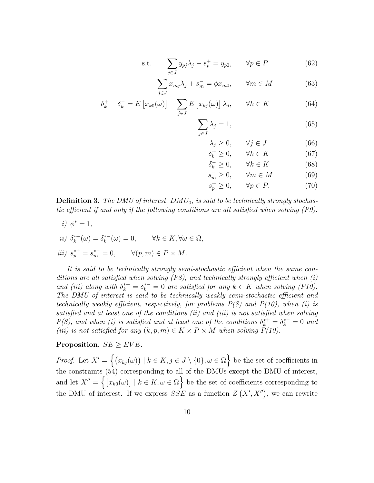s.t. 
$$
\sum_{j \in J} y_{pj} \lambda_j - s_p^+ = y_{p0}, \qquad \forall p \in P
$$
 (62)

$$
\sum_{j \in J} x_{mj} \lambda_j + s_m^- = \phi x_{m0}, \qquad \forall m \in M \tag{63}
$$

$$
\delta_k^+ - \delta_k^- = E\left[x_{k0}(\omega)\right] - \sum_{j \in J} E\left[x_{kj}(\omega)\right] \lambda_j, \qquad \forall k \in K \tag{64}
$$

$$
\sum_{j \in J} \lambda_j = 1,\tag{65}
$$

$$
\lambda_j \ge 0, \qquad \forall j \in J \tag{66}
$$

$$
\delta_k^+ \ge 0, \qquad \forall k \in K \tag{67}
$$

$$
\delta_k^- \ge 0, \qquad \forall k \in K \tag{68}
$$

$$
s_m^- \ge 0, \qquad \forall m \in M \tag{69}
$$

$$
s_p^+ \ge 0, \qquad \forall p \in P. \tag{70}
$$

**Definition 3.** The DMU of interest,  $DMU_0$ , is said to be technically strongly stochastic efficient if and only if the following conditions are all satisfied when solving (P9):

i)  $\phi^* = 1$ ,

$$
ii) \ \delta_k^{*+}(\omega) = \delta_k^{*-}(\omega) = 0, \qquad \forall k \in K, \forall \omega \in \Omega,
$$

$$
iii) s_p^{*+} = s_m^{*-} = 0, \qquad \forall (p, m) \in P \times M.
$$

It is said to be technically strongly semi-stochastic efficient when the same conditions are all satisfied when solving (P8), and technically strongly efficient when (i) and (iii) along with  $\delta_k^{*+} = \delta_k^{*-} = 0$  are satisfied for any  $k \in K$  when solving (P10). The DMU of interest is said to be technically weakly semi-stochastic efficient and technically weakly efficient, respectively, for problems  $P(8)$  and  $P(10)$ , when (i) is satisfied and at least one of the conditions (ii) and (iii) is not satisfied when solving  $P(8)$ , and when (i) is satisfied and at least one of the conditions  $\delta_k^{*+} = \delta_k^{*-} = 0$  and (iii) is not satisfied for any  $(k, p, m) \in K \times P \times M$  when solving  $P(10)$ .

# Proposition.  $SE \geq EVE$ .

*Proof.* Let  $X' = \{(x_{kj}(\omega)) \mid k \in K, j \in J \setminus \{0\}, \omega \in \Omega\}$  be the set of coefficients in the constraints [\(54\)](#page-8-0) corresponding to all of the DMUs except the DMU of interest, and let  $X'' = \{ [x_{k0}(\omega)] \mid k \in K, \omega \in \Omega \}$  be the set of coefficients corresponding to the DMU of interest. If we express  $SSE$  as a function  $Z(X', X'')$ , we can rewrite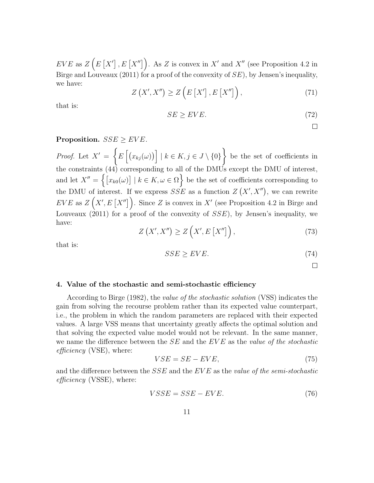$EVE$  as  $Z(E[X'], E[X''])$ . As Z is convex in X' and X'' (see Proposition 4.2 in [Birge and Louveaux \(2011\)](#page-16-9) for a proof of the convexity of  $SE$ ), by Jensen's inequality, we have:

$$
Z\left(X',X''\right) \ge Z\left(E\left[X'\right],E\left[X''\right]\right),\tag{71}
$$

that is:

$$
SE \ge EVE.\tag{72}
$$

 $\Box$ 

# Proposition.  $SSE > EVE$ .

Proof. Let  $X' = \{E \big[(x_{kj}(\omega))\big] \mid k \in K, j \in J \setminus \{0\}\}\$ be the set of coefficients in the constraints [\(44\)](#page-8-1) corresponding to all of the DMUs except the DMU of interest, and let  $X'' = \{ [x_{k0}(\omega)] \mid k \in K, \omega \in \Omega \}$  be the set of coefficients corresponding to the DMU of interest. If we express  $SSE$  as a function  $Z(X', X'')$ , we can rewrite  $EVE$  as  $Z(X', E[X''])$ . Since Z is convex in X' (see Proposition 4.2 in [Birge and](#page-16-9) Louveaux  $(2011)$  for a proof of the convexity of  $SSE$ ), by Jensen's inequality, we have:

$$
Z\left(X',X''\right) \ge Z\left(X',E\left[X''\right]\right),\tag{73}
$$

that is:

$$
SSE \ge EVE. \tag{74}
$$

 $\Box$ 

## 4. Value of the stochastic and semi-stochastic efficiency

According to [Birge \(1982\)](#page-16-10), the value of the stochastic solution (VSS) indicates the gain from solving the recourse problem rather than its expected value counterpart, i.e., the problem in which the random parameters are replaced with their expected values. A large VSS means that uncertainty greatly affects the optimal solution and that solving the expected value model would not be relevant. In the same manner, we name the difference between the  $SE$  and the  $EVE$  as the value of the stochastic  $efficiency$  (VSE), where:

$$
VSE = SE - EVE,\t(75)
$$

and the difference between the  $SSE$  and the  $EVE$  as the value of the semi-stochastic  $efficiency$  (VSSE), where:

$$
VSSE = SSE - EVE.\t(76)
$$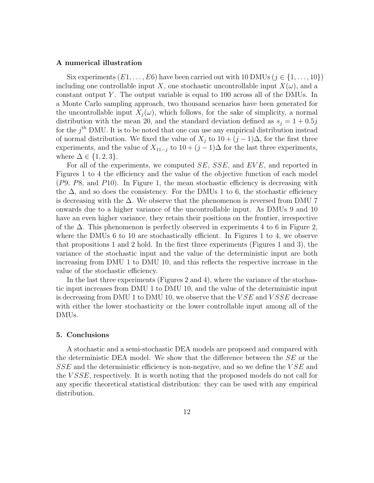## A numerical illustration

Six experiments  $(E1, \ldots, E6)$  have been carried out with 10 DMUs  $(j \in \{1, \ldots, 10\})$ including one controllable input X, one stochastic uncontrollable input  $X(\omega)$ , and a constant output Y. The output variable is equal to 100 across all of the DMUs. In a Monte Carlo sampling approach, two thousand scenarios have been generated for the uncontrollable input  $X_i(\omega)$ , which follows, for the sake of simplicity, a normal distribution with the mean 20, and the standard deviation defined as  $s_i = 1 + 0.5j$ for the  $j^{th}$  DMU. It is to be noted that one can use any empirical distribution instead of normal distribution. We fixed the value of  $X_j$  to  $10 + (j-1)\Delta$ , for the first three experiments, and the value of  $X_{11-j}$  to  $10+(j-1)\Delta$  for the last three experiments, where  $\Delta \in \{1, 2, 3\}.$ 

For all of the experiments, we computed SE, SSE, and EVE, and reported in Figures [1](#page-12-0) to [4](#page-15-0) the efficiency and the value of the objective function of each model (P9, P8, and P10). In Figure [1,](#page-12-0) the mean stochastic efficiency is decreasing with the  $\Delta$ , and so does the consistency. For the DMUs 1 to 6, the stochastic efficiency is decreasing with the  $\Delta$ . We observe that the phenomenon is reversed from DMU 7 onwards due to a higher variance of the uncontrollable input. As DMUs 9 and 10 have an even higher variance, they retain their positions on the frontier, irrespective of the  $\Delta$ . This phenomenon is perfectly observed in experiments 4 to 6 in Figure [2,](#page-13-0) where the DMUs 6 to [1](#page-12-0)0 are stochastically efficient. In Figures 1 to [4,](#page-15-0) we observe that propositions 1 and 2 hold. In the first three experiments (Figures [1](#page-12-0) and [3\)](#page-14-0), the variance of the stochastic input and the value of the deterministic input are both increasing from DMU 1 to DMU 10, and this reflects the respective increase in the value of the stochastic efficiency.

In the last three experiments (Figures [2](#page-13-0) and [4\)](#page-15-0), where the variance of the stochastic input increases from DMU 1 to DMU 10, and the value of the deterministic input is decreasing from DMU 1 to DMU 10, we observe that the  $VSE$  and  $VSSE$  decrease with either the lower stochasticity or the lower controllable input among all of the DMUs.

## 5. Conclusions

A stochastic and a semi-stochastic DEA models are proposed and compared with the deterministic DEA model. We show that the difference between the SE or the SSE and the deterministic efficiency is non-negative, and so we define the VSE and the *VSSE*, respectively. It is worth noting that the proposed models do not call for any specific theoretical statistical distribution: they can be used with any empirical distribution.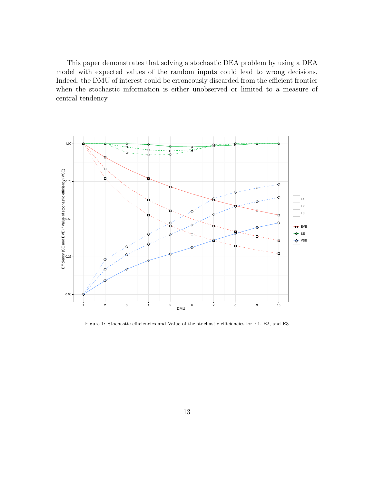This paper demonstrates that solving a stochastic DEA problem by using a DEA model with expected values of the random inputs could lead to wrong decisions. Indeed, the DMU of interest could be erroneously discarded from the efficient frontier when the stochastic information is either unobserved or limited to a measure of central tendency.



<span id="page-12-0"></span>Figure 1: Stochastic efficiencies and Value of the stochastic efficiencies for E1, E2, and E3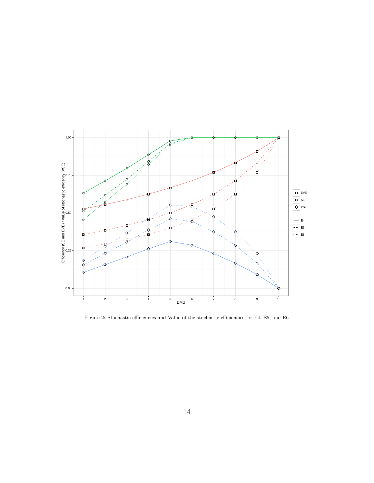

<span id="page-13-0"></span>Figure 2: Stochastic efficiencies and Value of the stochastic efficiencies for E4, E5, and E6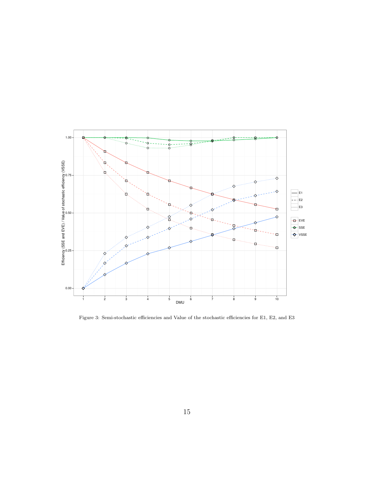

<span id="page-14-0"></span>Figure 3: Semi-stochastic efficiencies and Value of the stochastic efficiencies for E1, E2, and E3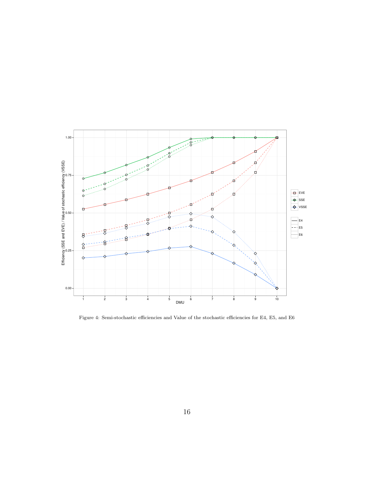

<span id="page-15-0"></span>Figure 4: Semi-stochastic efficiencies and Value of the stochastic efficiencies for E4, E5, and E6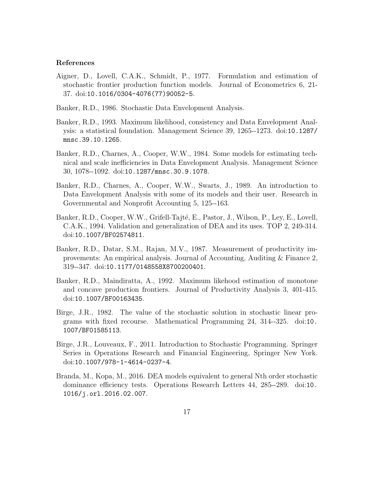## References

- <span id="page-16-2"></span>Aigner, D., Lovell, C.A.K., Schmidt, P., 1977. Formulation and estimation of stochastic frontier production function models. Journal of Econometrics 6, 21- 37. doi:[10.1016/0304-4076\(77\)90052-5](http://dx.doi.org/10.1016/0304-4076(77)90052-5).
- <span id="page-16-4"></span>Banker, R.D., 1986. Stochastic Data Envelopment Analysis.
- <span id="page-16-6"></span>Banker, R.D., 1993. Maximum likelihood, consistency and Data Envelopment Analysis: a statistical foundation. Management Science 39, 1265--1273. doi:[10.1287/](http://dx.doi.org/10.1287/mnsc.39.10.1265) [mnsc.39.10.1265](http://dx.doi.org/10.1287/mnsc.39.10.1265).
- <span id="page-16-8"></span>Banker, R.D., Charnes, A., Cooper, W.W., 1984. Some models for estimating technical and scale inefficiencies in Data Envelopment Analysis. Management Science 30, 1078--1092. doi:[10.1287/mnsc.30.9.1078](http://dx.doi.org/10.1287/mnsc.30.9.1078).
- <span id="page-16-0"></span>Banker, R.D., Charnes, A., Cooper, W.W., Swarts, J., 1989. An introduction to Data Envelopment Analysis with some of its models and their user. Research in Governmental and Nonprofit Accounting 5, 125--163.
- <span id="page-16-1"></span>Banker, R.D., Cooper, W.W., Grifell-Tajté, E., Pastor, J., Wilson, P., Ley, E., Lovell, C.A.K., 1994. Validation and generalization of DEA and its uses. TOP 2, 249-314. doi:[10.1007/BF02574811](http://dx.doi.org/10.1007/BF02574811).
- <span id="page-16-5"></span>Banker, R.D., Datar, S.M., Rajan, M.V., 1987. Measurement of productivity improvements: An empirical analysis. Journal of Accounting, Auditing & Finance 2, 319--347. doi:[10.1177/0148558X8700200401](http://dx.doi.org/10.1177/0148558X8700200401).
- <span id="page-16-3"></span>Banker, R.D., Maindiratta, A., 1992. Maximum likehood estimation of monotone and concave production frontiers. Journal of Productivity Analysis 3, 401-415. doi:[10.1007/BF00163435](http://dx.doi.org/10.1007/BF00163435).
- <span id="page-16-10"></span>Birge, J.R., 1982. The value of the stochastic solution in stochastic linear programs with fixed recourse. Mathematical Programming 24, 314--325. doi:[10.](http://dx.doi.org/10.1007/BF01585113) [1007/BF01585113](http://dx.doi.org/10.1007/BF01585113).
- <span id="page-16-9"></span>Birge, J.R., Louveaux, F., 2011. Introduction to Stochastic Programming. Springer Series in Operations Research and Financial Engineering, Springer New York. doi:[10.1007/978-1-4614-0237-4](http://dx.doi.org/10.1007/978-1-4614-0237-4).
- <span id="page-16-7"></span>Branda, M., Kopa, M., 2016. DEA models equivalent to general Nth order stochastic dominance efficiency tests. Operations Research Letters 44, 285--289. doi:[10.](http://dx.doi.org/10.1016/j.orl.2016.02.007) [1016/j.orl.2016.02.007](http://dx.doi.org/10.1016/j.orl.2016.02.007).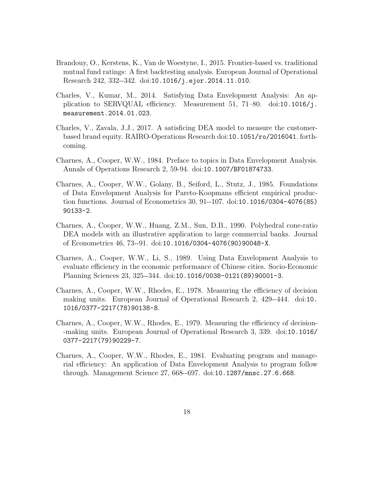- <span id="page-17-8"></span>Brandouy, O., Kerstens, K., Van de Woestyne, I., 2015. Frontier-based vs. traditional mutual fund ratings: A first backtesting analysis. European Journal of Operational Research 242, 332--342. doi:[10.1016/j.ejor.2014.11.010](http://dx.doi.org/10.1016/j.ejor.2014.11.010).
- <span id="page-17-7"></span>Charles, V., Kumar, M., 2014. Satisfying Data Envelopment Analysis: An application to SERVQUAL efficiency. Measurement 51, 71–80. doi:[10.1016/j.](http://dx.doi.org/10.1016/j.measurement.2014.01.023) [measurement.2014.01.023](http://dx.doi.org/10.1016/j.measurement.2014.01.023).
- <span id="page-17-9"></span>Charles, V., Zavala, J.J., 2017. A satisficing DEA model to measure the customerbased brand equity. RAIRO-Operations Research doi:[10.1051/ro/2016041](http://dx.doi.org/10.1051/ro/2016041). forthcoming.
- <span id="page-17-3"></span>Charnes, A., Cooper, W.W., 1984. Preface to topics in Data Envelopment Analysis. Annals of Operations Research 2, 59-94. doi:[10.1007/BF01874733](http://dx.doi.org/10.1007/BF01874733).
- <span id="page-17-4"></span>Charnes, A., Cooper, W.W., Golany, B., Seiford, L., Stutz, J., 1985. Foundations of Data Envelopment Analysis for Pareto-Koopmans efficient empirical production functions. Journal of Econometrics 30, 91--107. doi:[10.1016/0304-4076\(85\)](http://dx.doi.org/10.1016/0304-4076(85)90133-2) [90133-2](http://dx.doi.org/10.1016/0304-4076(85)90133-2).
- <span id="page-17-6"></span>Charnes, A., Cooper, W.W., Huang, Z.M., Sun, D.B., 1990. Polyhedral cone-ratio DEA models with an illustrative application to large commercial banks. Journal of Econometrics 46, 73--91. doi:[10.1016/0304-4076\(90\)90048-X](http://dx.doi.org/10.1016/0304-4076(90)90048-X).
- <span id="page-17-5"></span>Charnes, A., Cooper, W.W., Li, S., 1989. Using Data Envelopment Analysis to evaluate efficiency in the economic performance of Chinese cities. Socio-Economic Planning Sciences 23, 325--344. doi:[10.1016/0038-0121\(89\)90001-3](http://dx.doi.org/10.1016/0038-0121(89)90001-3).
- <span id="page-17-0"></span>Charnes, A., Cooper, W.W., Rhodes, E., 1978. Measuring the efficiency of decision making units. European Journal of Operational Research 2, 429--444. doi:[10.](http://dx.doi.org/10.1016/0377-2217(78)90138-8) [1016/0377-2217\(78\)90138-8](http://dx.doi.org/10.1016/0377-2217(78)90138-8).
- <span id="page-17-1"></span>Charnes, A., Cooper, W.W., Rhodes, E., 1979. Measuring the efficiency of decision- -making units. European Journal of Operational Research 3, 339. doi:[10.1016/](http://dx.doi.org/10.1016/0377-2217(79)90229-7) [0377-2217\(79\)90229-7](http://dx.doi.org/10.1016/0377-2217(79)90229-7).
- <span id="page-17-2"></span>Charnes, A., Cooper, W.W., Rhodes, E., 1981. Evaluating program and managerial efficiency: An application of Data Envelopment Analysis to program follow through. Management Science 27, 668--697. doi:[10.1287/mnsc.27.6.668](http://dx.doi.org/10.1287/mnsc.27.6.668).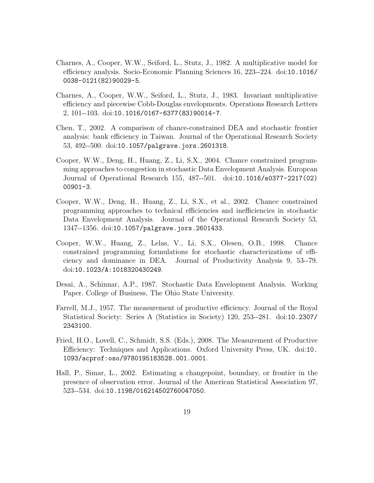- <span id="page-18-1"></span>Charnes, A., Cooper, W.W., Seiford, L., Stutz, J., 1982. A multiplicative model for efficiency analysis. Socio-Economic Planning Sciences 16, 223--224. doi:[10.1016/](http://dx.doi.org/10.1016/0038-0121(82)90029-5) [0038-0121\(82\)90029-5](http://dx.doi.org/10.1016/0038-0121(82)90029-5).
- <span id="page-18-2"></span>Charnes, A., Cooper, W.W., Seiford, L., Stutz, J., 1983. Invariant multiplicative efficiency and piecewise Cobb-Douglas envelopments. Operations Research Letters 2, 101--103. doi:[10.1016/0167-6377\(83\)90014-7](http://dx.doi.org/10.1016/0167-6377(83)90014-7).
- <span id="page-18-6"></span>Chen, T., 2002. A comparison of chance-constrained DEA and stochastic frontier analysis: bank efficiency in Taiwan. Journal of the Operational Research Society 53, 492--500. doi:[10.1057/palgrave.jors.2601318](http://dx.doi.org/10.1057/palgrave.jors.2601318).
- <span id="page-18-7"></span>Cooper, W.W., Deng, H., Huang, Z., Li, S.X., 2004. Chance constrained programming approaches to congestion in stochastic Data Envelopment Analysis. European Journal of Operational Research 155, 487--501. doi:[10.1016/s0377-2217\(02\)](http://dx.doi.org/10.1016/s0377-2217(02)00901-3) [00901-3](http://dx.doi.org/10.1016/s0377-2217(02)00901-3).
- <span id="page-18-5"></span>Cooper, W.W., Deng, H., Huang, Z., Li, S.X., et al., 2002. Chance constrained programming approaches to technical efficiencies and inefficiencies in stochastic Data Envelopment Analysis. Journal of the Operational Research Society 53, 1347--1356. doi:[10.1057/palgrave.jors.2601433](http://dx.doi.org/10.1057/palgrave.jors.2601433).
- <span id="page-18-8"></span>Cooper, W.W., Huang, Z., Lelas, V., Li, S.X., Olesen, O.B., 1998. Chance constrained programming formulations for stochastic characterizations of efficiency and dominance in DEA. Journal of Productivity Analysis 9, 53--79. doi:[10.1023/A:1018320430249](http://dx.doi.org/10.1023/A:1018320430249).
- <span id="page-18-4"></span>Desai, A., Schinnar, A.P., 1987. Stochastic Data Envelopment Analysis. Working Paper. College of Business, The Ohio State University.
- <span id="page-18-0"></span>Farrell, M.J., 1957. The measurement of productive efficiency. Journal of the Royal Statistical Society: Series A (Statistics in Society) 120, 253--281. doi:[10.2307/](http://dx.doi.org/10.2307/2343100) [2343100](http://dx.doi.org/10.2307/2343100).
- <span id="page-18-3"></span>Fried, H.O., Lovell, C., Schmidt, S.S. (Eds.), 2008. The Measurement of Productive Efficiency: Techniques and Applications. Oxford University Press, UK. doi:[10.](http://dx.doi.org/10.1093/acprof:oso/9780195183528.001.0001) [1093/acprof:oso/9780195183528.001.0001](http://dx.doi.org/10.1093/acprof:oso/9780195183528.001.0001).
- <span id="page-18-9"></span>Hall, P., Simar, L., 2002. Estimating a changepoint, boundary, or frontier in the presence of observation error. Journal of the American Statistical Association 97, 523--534. doi:[10.1198/016214502760047050](http://dx.doi.org/10.1198/016214502760047050).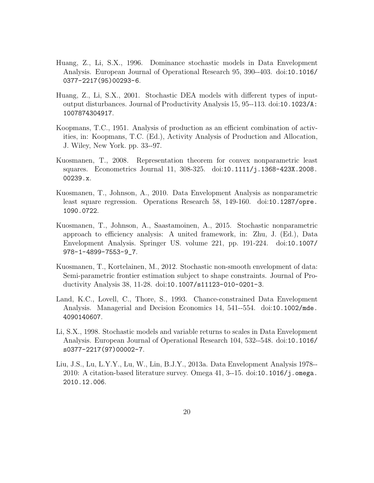- <span id="page-19-7"></span>Huang, Z., Li, S.X., 1996. Dominance stochastic models in Data Envelopment Analysis. European Journal of Operational Research 95, 390--403. doi:[10.1016/](http://dx.doi.org/10.1016/0377-2217(95)00293-6) [0377-2217\(95\)00293-6](http://dx.doi.org/10.1016/0377-2217(95)00293-6).
- <span id="page-19-9"></span>Huang, Z., Li, S.X., 2001. Stochastic DEA models with different types of inputoutput disturbances. Journal of Productivity Analysis 15, 95--113. doi:[10.1023/A:](http://dx.doi.org/10.1023/A:1007874304917) [1007874304917](http://dx.doi.org/10.1023/A:1007874304917).
- <span id="page-19-0"></span>Koopmans, T.C., 1951. Analysis of production as an efficient combination of activities, in: Koopmans, T.C. (Ed.), Activity Analysis of Production and Allocation, J. Wiley, New York. pp. 33--97.
- <span id="page-19-2"></span>Kuosmanen, T., 2008. Representation theorem for convex nonparametric least squares. Econometrics Journal 11, 308-325. doi:[10.1111/j.1368-423X.2008.](http://dx.doi.org/10.1111/j.1368-423X.2008.00239.x) [00239.x](http://dx.doi.org/10.1111/j.1368-423X.2008.00239.x).
- <span id="page-19-3"></span>Kuosmanen, T., Johnson, A., 2010. Data Envelopment Analysis as nonparametric least square regression. Operations Research 58, 149-160. doi:[10.1287/opre.](http://dx.doi.org/10.1287/opre.1090.0722) [1090.0722](http://dx.doi.org/10.1287/opre.1090.0722).
- <span id="page-19-5"></span>Kuosmanen, T., Johnson, A., Saastamoinen, A., 2015. Stochastic nonparametric approach to efficiency analysis: A united framework, in: Zhu, J. (Ed.), Data Envelopment Analysis. Springer US. volume 221, pp. 191-224. doi:[10.1007/](http://dx.doi.org/10.1007/978-1-4899-7553-9_7) [978-1-4899-7553-9\\_7](http://dx.doi.org/10.1007/978-1-4899-7553-9_7).
- <span id="page-19-4"></span>Kuosmanen, T., Kortelainen, M., 2012. Stochastic non-smooth envelopment of data: Semi-parametric frontier estimation subject to shape constraints. Journal of Productivity Analysis 38, 11-28. doi:[10.1007/s11123-010-0201-3](http://dx.doi.org/10.1007/s11123-010-0201-3).
- <span id="page-19-6"></span>Land, K.C., Lovell, C., Thore, S., 1993. Chance-constrained Data Envelopment Analysis. Managerial and Decision Economics 14, 541--554. doi:[10.1002/mde.](http://dx.doi.org/10.1002/mde.4090140607) [4090140607](http://dx.doi.org/10.1002/mde.4090140607).
- <span id="page-19-8"></span>Li, S.X., 1998. Stochastic models and variable returns to scales in Data Envelopment Analysis. European Journal of Operational Research 104, 532--548. doi:[10.1016/](http://dx.doi.org/10.1016/s0377-2217(97)00002-7) [s0377-2217\(97\)00002-7](http://dx.doi.org/10.1016/s0377-2217(97)00002-7).
- <span id="page-19-1"></span>Liu, J.S., Lu, L.Y.Y., Lu, W., Lin, B.J.Y., 2013a. Data Envelopment Analysis 1978-- 2010: A citation-based literature survey. Omega  $41, 3-15$ . doi:[10.1016/j.omega.](http://dx.doi.org/10.1016/j.omega.2010.12.006) [2010.12.006](http://dx.doi.org/10.1016/j.omega.2010.12.006).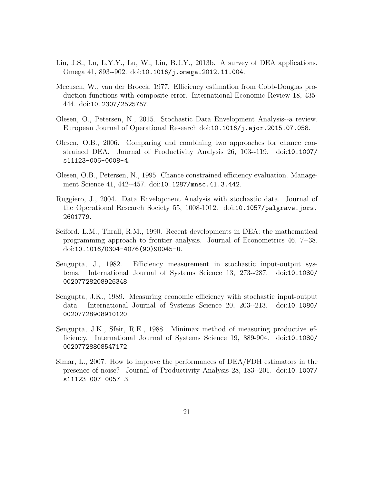- <span id="page-20-1"></span>Liu, J.S., Lu, L.Y.Y., Lu, W., Lin, B.J.Y., 2013b. A survey of DEA applications. Omega 41, 893--902. doi:[10.1016/j.omega.2012.11.004](http://dx.doi.org/10.1016/j.omega.2012.11.004).
- <span id="page-20-3"></span>Meeusen, W., van der Broeck, 1977. Efficiency estimation from Cobb-Douglas production functions with composite error. International Economic Review 18, 435- 444. doi:[10.2307/2525757](http://dx.doi.org/10.2307/2525757).
- <span id="page-20-10"></span>Olesen, O., Petersen, N., 2015. Stochastic Data Envelopment Analysis--a review. European Journal of Operational Research doi:[10.1016/j.ejor.2015.07.058](http://dx.doi.org/10.1016/j.ejor.2015.07.058).
- <span id="page-20-6"></span>Olesen, O.B., 2006. Comparing and combining two approaches for chance constrained DEA. Journal of Productivity Analysis 26, 103--119. doi:[10.1007/](http://dx.doi.org/10.1007/s11123-006-0008-4) [s11123-006-0008-4](http://dx.doi.org/10.1007/s11123-006-0008-4).
- <span id="page-20-5"></span>Olesen, O.B., Petersen, N., 1995. Chance constrained efficiency evaluation. Management Science 41, 442--457. doi:[10.1287/mnsc.41.3.442](http://dx.doi.org/10.1287/mnsc.41.3.442).
- <span id="page-20-8"></span>Ruggiero, J., 2004. Data Envelopment Analysis with stochastic data. Journal of the Operational Research Society 55, 1008-1012. doi:[10.1057/palgrave.jors.](http://dx.doi.org/10.1057/palgrave.jors.2601779) [2601779](http://dx.doi.org/10.1057/palgrave.jors.2601779).
- <span id="page-20-0"></span>Seiford, L.M., Thrall, R.M., 1990. Recent developments in DEA: the mathematical programming approach to frontier analysis. Journal of Econometrics 46, 7--38. doi:[10.1016/0304-4076\(90\)90045-U](http://dx.doi.org/10.1016/0304-4076(90)90045-U).
- <span id="page-20-2"></span>Sengupta, J., 1982. Efficiency measurement in stochastic input-output systems. International Journal of Systems Science 13, 273--287. doi:[10.1080/](http://dx.doi.org/10.1080/00207728208926348) [00207728208926348](http://dx.doi.org/10.1080/00207728208926348).
- <span id="page-20-4"></span>Sengupta, J.K., 1989. Measuring economic efficiency with stochastic input-output data. International Journal of Systems Science 20, 203--213. doi:[10.1080/](http://dx.doi.org/10.1080/00207728908910120) [00207728908910120](http://dx.doi.org/10.1080/00207728908910120).
- <span id="page-20-7"></span>Sengupta, J.K., Sfeir, R.E., 1988. Minimax method of measuring productive efficiency. International Journal of Systems Science 19, 889-904. doi:[10.1080/](http://dx.doi.org/10.1080/00207728808547172) [00207728808547172](http://dx.doi.org/10.1080/00207728808547172).
- <span id="page-20-9"></span>Simar, L., 2007. How to improve the performances of DEA/FDH estimators in the presence of noise? Journal of Productivity Analysis 28, 183--201. doi:[10.1007/](http://dx.doi.org/10.1007/s11123-007-0057-3) [s11123-007-0057-3](http://dx.doi.org/10.1007/s11123-007-0057-3).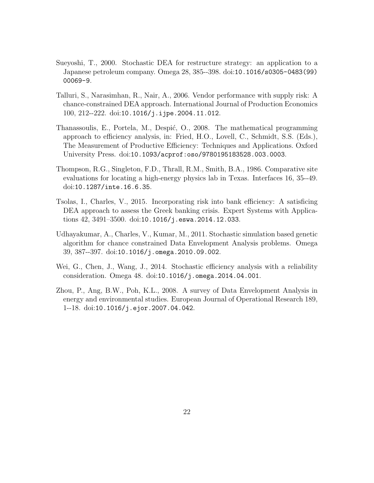- <span id="page-21-5"></span>Sueyoshi, T., 2000. Stochastic DEA for restructure strategy: an application to a Japanese petroleum company. Omega 28, 385--398. doi:[10.1016/s0305-0483\(99\)](http://dx.doi.org/10.1016/s0305-0483(99)00069-9) [00069-9](http://dx.doi.org/10.1016/s0305-0483(99)00069-9).
- <span id="page-21-6"></span>Talluri, S., Narasimhan, R., Nair, A., 2006. Vendor performance with supply risk: A chance-constrained DEA approach. International Journal of Production Economics 100, 212--222. doi:[10.1016/j.ijpe.2004.11.012](http://dx.doi.org/10.1016/j.ijpe.2004.11.012).
- <span id="page-21-1"></span>Thanassoulis, E., Portela, M., Despić, O., 2008. The mathematical programming approach to efficiency analysis, in: Fried, H.O., Lovell, C., Schmidt, S.S. (Eds.), The Measurement of Productive Efficiency: Techniques and Applications. Oxford University Press. doi:[10.1093/acprof:oso/9780195183528.003.0003](http://dx.doi.org/10.1093/acprof:oso/9780195183528.003.0003).
- <span id="page-21-0"></span>Thompson, R.G., Singleton, F.D., Thrall, R.M., Smith, B.A., 1986. Comparative site evaluations for locating a high-energy physics lab in Texas. Interfaces 16, 35--49. doi:[10.1287/inte.16.6.35](http://dx.doi.org/10.1287/inte.16.6.35).
- <span id="page-21-7"></span>Tsolas, I., Charles, V., 2015. Incorporating risk into bank efficiency: A satisficing DEA approach to assess the Greek banking crisis. Expert Systems with Applications 42, 3491–3500. doi:[10.1016/j.eswa.2014.12.033](http://dx.doi.org/10.1016/j.eswa.2014.12.033).
- <span id="page-21-3"></span>Udhayakumar, A., Charles, V., Kumar, M., 2011. Stochastic simulation based genetic algorithm for chance constrained Data Envelopment Analysis problems. Omega 39, 387--397. doi:[10.1016/j.omega.2010.09.002](http://dx.doi.org/10.1016/j.omega.2010.09.002).
- <span id="page-21-4"></span>Wei, G., Chen, J., Wang, J., 2014. Stochastic efficiency analysis with a reliability consideration. Omega 48. doi:[10.1016/j.omega.2014.04.001](http://dx.doi.org/10.1016/j.omega.2014.04.001).
- <span id="page-21-2"></span>Zhou, P., Ang, B.W., Poh, K.L., 2008. A survey of Data Envelopment Analysis in energy and environmental studies. European Journal of Operational Research 189, 1--18. doi:[10.1016/j.ejor.2007.04.042](http://dx.doi.org/10.1016/j.ejor.2007.04.042).